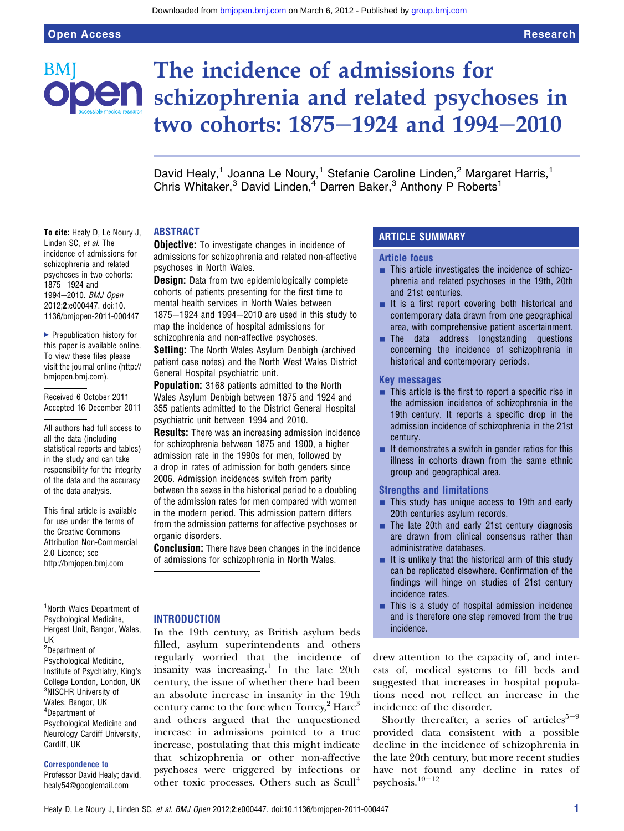BMI

To cite: Healy D, Le Noury J, Linden SC, et al. The incidence of admissions for schizophrenia and related psychoses in two cohorts:  $1875 - 1924$  and 1994-2010. BMJ Open 2012;2:e000447. doi:10. 1136/bmjopen-2011-000447 **Prepublication history for** this paper is available online. To view these files please visit the journal online (http:// bmjopen.bmj.com).

Received 6 October 2011 Accepted 16 December 2011 All authors had full access to all the data (including statistical reports and tables) in the study and can take responsibility for the integrity of the data and the accuracy of the data analysis.

This final article is available for use under the terms of the Creative Commons Attribution Non-Commercial

2.0 Licence; see http://bmjopen.bmj.com

# The incidence of admissions for **ICO** schizophrenia and related psychoses in two cohorts:  $1875 - 1924$  and  $1994 - 2010$

David Healy,<sup>1</sup> Joanna Le Noury,<sup>1</sup> Stefanie Caroline Linden,<sup>2</sup> Margaret Harris,<sup>1</sup> Chris Whitaker,<sup>3</sup> David Linden,<sup>4</sup> Darren Baker,<sup>3</sup> Anthony P Roberts<sup>1</sup>

#### ABSTRACT

**Objective:** To investigate changes in incidence of admissions for schizophrenia and related non-affective psychoses in North Wales.

**Design:** Data from two epidemiologically complete cohorts of patients presenting for the first time to mental health services in North Wales between  $1875 - 1924$  and  $1994 - 2010$  are used in this study to map the incidence of hospital admissions for schizophrenia and non-affective psychoses.

**Setting:** The North Wales Asylum Denbigh (archived patient case notes) and the North West Wales District General Hospital psychiatric unit.

**Population:** 3168 patients admitted to the North Wales Asylum Denbigh between 1875 and 1924 and 355 patients admitted to the District General Hospital psychiatric unit between 1994 and 2010.

**Results:** There was an increasing admission incidence for schizophrenia between 1875 and 1900, a higher admission rate in the 1990s for men, followed by a drop in rates of admission for both genders since 2006. Admission incidences switch from parity between the sexes in the historical period to a doubling of the admission rates for men compared with women in the modern period. This admission pattern differs from the admission patterns for affective psychoses or organic disorders.

**Conclusion:** There have been changes in the incidence of admissions for schizophrenia in North Wales.

<sup>1</sup>North Wales Department of Psychological Medicine, Hergest Unit, Bangor, Wales, UK <sup>2</sup>Department of Psychological Medicine, Institute of Psychiatry, King's College London, London, UK <sup>3</sup>NISCHR University of Wales, Bangor, UK 4 Department of Psychological Medicine and Neurology Cardiff University, Cardiff, UK

#### Correspondence to

Professor David Healy; david. healy54@googlemail.com

#### **INTRODUCTION**

In the 19th century, as British asylum beds filled, asylum superintendents and others regularly worried that the incidence of insanity was increasing.<sup>1</sup> In the late 20th century, the issue of whether there had been an absolute increase in insanity in the 19th century came to the fore when  $T$ orrey, $^2$  Hare $^3$ and others argued that the unquestioned increase in admissions pointed to a true increase, postulating that this might indicate that schizophrenia or other non-affective psychoses were triggered by infections or other toxic processes. Others such as Scull<sup>4</sup>

## ARTICLE SUMMARY

#### Article focus

- **This article investigates the incidence of schizo**phrenia and related psychoses in the 19th, 20th and 21st centuries.
- $\blacksquare$  It is a first report covering both historical and contemporary data drawn from one geographical area, with comprehensive patient ascertainment.
- $\blacksquare$  The data address longstanding questions concerning the incidence of schizophrenia in historical and contemporary periods.

#### Key messages

- $\blacksquare$  This article is the first to report a specific rise in the admission incidence of schizophrenia in the 19th century. It reports a specific drop in the admission incidence of schizophrenia in the 21st century.
- $\blacksquare$  It demonstrates a switch in gender ratios for this illness in cohorts drawn from the same ethnic group and geographical area.

#### Strengths and limitations

- $\blacksquare$  This study has unique access to 19th and early 20th centuries asylum records.
- $\blacksquare$  The late 20th and early 21st century diagnosis are drawn from clinical consensus rather than administrative databases.
- It is unlikely that the historical arm of this study can be replicated elsewhere. Confirmation of the findings will hinge on studies of 21st century incidence rates.
- $\blacksquare$  This is a study of hospital admission incidence and is therefore one step removed from the true incidence.

drew attention to the capacity of, and interests of, medical systems to fill beds and suggested that increases in hospital populations need not reflect an increase in the incidence of the disorder.

Shortly thereafter, a series of articles<sup>5-9</sup> provided data consistent with a possible decline in the incidence of schizophrenia in the late 20th century, but more recent studies have not found any decline in rates of psychosis. $10-12$ 

Healy D, Le Noury J, Linden SC, et al. BMJ Open 2012;2:e000447. doi:10.1136/bmjopen-2011-000447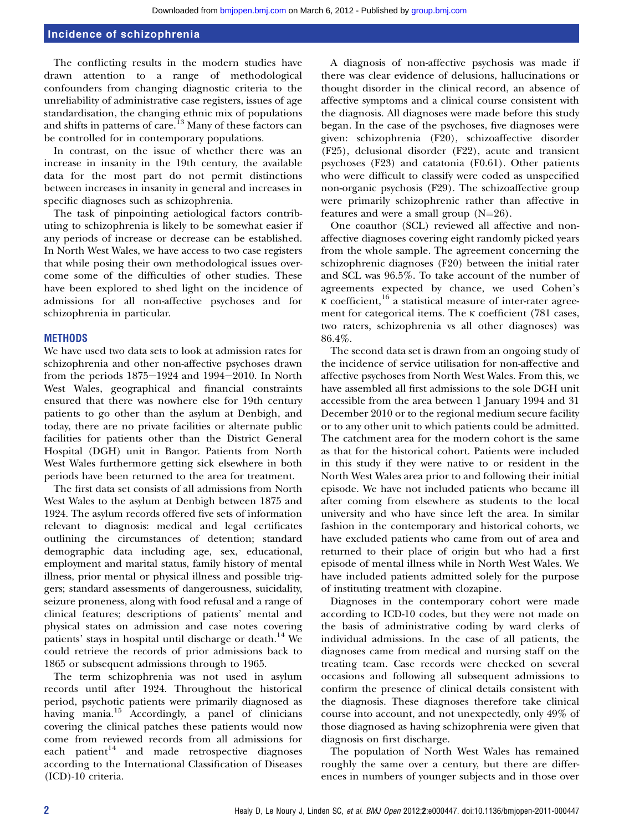The conflicting results in the modern studies have drawn attention to a range of methodological confounders from changing diagnostic criteria to the unreliability of administrative case registers, issues of age standardisation, the changing ethnic mix of populations and shifts in patterns of care.<sup>13</sup> Many of these factors can be controlled for in contemporary populations.

In contrast, on the issue of whether there was an increase in insanity in the 19th century, the available data for the most part do not permit distinctions between increases in insanity in general and increases in specific diagnoses such as schizophrenia.

The task of pinpointing aetiological factors contributing to schizophrenia is likely to be somewhat easier if any periods of increase or decrease can be established. In North West Wales, we have access to two case registers that while posing their own methodological issues overcome some of the difficulties of other studies. These have been explored to shed light on the incidence of admissions for all non-affective psychoses and for schizophrenia in particular.

#### METHODS

We have used two data sets to look at admission rates for schizophrenia and other non-affective psychoses drawn from the periods  $1875-1924$  and  $1994-2010$ . In North West Wales, geographical and financial constraints ensured that there was nowhere else for 19th century patients to go other than the asylum at Denbigh, and today, there are no private facilities or alternate public facilities for patients other than the District General Hospital (DGH) unit in Bangor. Patients from North West Wales furthermore getting sick elsewhere in both periods have been returned to the area for treatment.

The first data set consists of all admissions from North West Wales to the asylum at Denbigh between 1875 and 1924. The asylum records offered five sets of information relevant to diagnosis: medical and legal certificates outlining the circumstances of detention; standard demographic data including age, sex, educational, employment and marital status, family history of mental illness, prior mental or physical illness and possible triggers; standard assessments of dangerousness, suicidality, seizure proneness, along with food refusal and a range of clinical features; descriptions of patients' mental and physical states on admission and case notes covering patients' stays in hospital until discharge or death.<sup>14</sup> We could retrieve the records of prior admissions back to 1865 or subsequent admissions through to 1965.

The term schizophrenia was not used in asylum records until after 1924. Throughout the historical period, psychotic patients were primarily diagnosed as having mania.<sup>15</sup> Accordingly, a panel of clinicians covering the clinical patches these patients would now come from reviewed records from all admissions for each patient<sup>14</sup> and made retrospective diagnoses according to the International Classification of Diseases (ICD)-10 criteria.

A diagnosis of non-affective psychosis was made if there was clear evidence of delusions, hallucinations or thought disorder in the clinical record, an absence of affective symptoms and a clinical course consistent with the diagnosis. All diagnoses were made before this study began. In the case of the psychoses, five diagnoses were given: schizophrenia (F20), schizoaffective disorder (F25), delusional disorder (F22), acute and transient psychoses (F23) and catatonia (F0.61). Other patients who were difficult to classify were coded as unspecified non-organic psychosis (F29). The schizoaffective group were primarily schizophrenic rather than affective in features and were a small group  $(N=26)$ .

One coauthor (SCL) reviewed all affective and nonaffective diagnoses covering eight randomly picked years from the whole sample. The agreement concerning the schizophrenic diagnoses (F20) between the initial rater and SCL was 96.5%. To take account of the number of agreements expected by chance, we used Cohen's  $\kappa$  coefficient,<sup>16</sup> a statistical measure of inter-rater agreement for categorical items. The  $\kappa$  coefficient (781 cases, two raters, schizophrenia vs all other diagnoses) was 86.4%.

The second data set is drawn from an ongoing study of the incidence of service utilisation for non-affective and affective psychoses from North West Wales. From this, we have assembled all first admissions to the sole DGH unit accessible from the area between 1 January 1994 and 31 December 2010 or to the regional medium secure facility or to any other unit to which patients could be admitted. The catchment area for the modern cohort is the same as that for the historical cohort. Patients were included in this study if they were native to or resident in the North West Wales area prior to and following their initial episode. We have not included patients who became ill after coming from elsewhere as students to the local university and who have since left the area. In similar fashion in the contemporary and historical cohorts, we have excluded patients who came from out of area and returned to their place of origin but who had a first episode of mental illness while in North West Wales. We have included patients admitted solely for the purpose of instituting treatment with clozapine.

Diagnoses in the contemporary cohort were made according to ICD-10 codes, but they were not made on the basis of administrative coding by ward clerks of individual admissions. In the case of all patients, the diagnoses came from medical and nursing staff on the treating team. Case records were checked on several occasions and following all subsequent admissions to confirm the presence of clinical details consistent with the diagnosis. These diagnoses therefore take clinical course into account, and not unexpectedly, only 49% of those diagnosed as having schizophrenia were given that diagnosis on first discharge.

The population of North West Wales has remained roughly the same over a century, but there are differences in numbers of younger subjects and in those over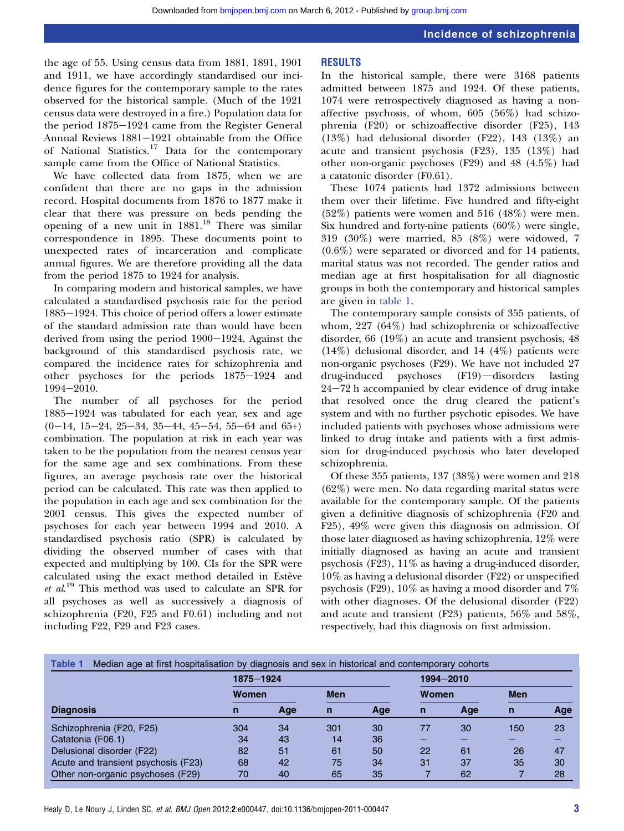the age of 55. Using census data from 1881, 1891, 1901 and 1911, we have accordingly standardised our incidence figures for the contemporary sample to the rates observed for the historical sample. (Much of the 1921 census data were destroyed in a fire.) Population data for the period  $1875-1924$  came from the Register General Annual Reviews 1881-1921 obtainable from the Office of National Statistics.<sup>17</sup> Data for the contemporary sample came from the Office of National Statistics.

We have collected data from 1875, when we are confident that there are no gaps in the admission record. Hospital documents from 1876 to 1877 make it clear that there was pressure on beds pending the opening of a new unit in  $1881$ <sup>18</sup> There was similar correspondence in 1895. These documents point to unexpected rates of incarceration and complicate annual figures. We are therefore providing all the data from the period 1875 to 1924 for analysis.

In comparing modern and historical samples, we have calculated a standardised psychosis rate for the period 1885–1924. This choice of period offers a lower estimate of the standard admission rate than would have been derived from using the period  $1900-1924$ . Against the background of this standardised psychosis rate, we compared the incidence rates for schizophrenia and other psychoses for the periods 1875-1924 and 1994-2010.

The number of all psychoses for the period 1885-1924 was tabulated for each year, sex and age  $(0-14, 15-24, 25-34, 35-44, 45-54, 55-64, 65+)$ combination. The population at risk in each year was taken to be the population from the nearest census year for the same age and sex combinations. From these figures, an average psychosis rate over the historical period can be calculated. This rate was then applied to the population in each age and sex combination for the 2001 census. This gives the expected number of psychoses for each year between 1994 and 2010. A standardised psychosis ratio (SPR) is calculated by dividing the observed number of cases with that expected and multiplying by 100. CIs for the SPR were calculated using the exact method detailed in Estève et al.<sup>19</sup> This method was used to calculate an SPR for all psychoses as well as successively a diagnosis of schizophrenia (F20, F25 and F0.61) including and not including F22, F29 and F23 cases.

#### RESULTS

In the historical sample, there were 3168 patients admitted between 1875 and 1924. Of these patients, 1074 were retrospectively diagnosed as having a nonaffective psychosis, of whom, 605 (56%) had schizophrenia (F20) or schizoaffective disorder (F25), 143 (13%) had delusional disorder (F22), 143 (13%) an acute and transient psychosis (F23), 135 (13%) had other non-organic psychoses (F29) and 48 (4.5%) had a catatonic disorder (F0.61).

These 1074 patients had 1372 admissions between them over their lifetime. Five hundred and fifty-eight (52%) patients were women and 516 (48%) were men. Six hundred and forty-nine patients (60%) were single, 319 (30%) were married, 85 (8%) were widowed, 7 (0.6%) were separated or divorced and for 14 patients, marital status was not recorded. The gender ratios and median age at first hospitalisation for all diagnostic groups in both the contemporary and historical samples are given in table 1.

The contemporary sample consists of 355 patients, of whom, 227 (64%) had schizophrenia or schizoaffective disorder, 66 (19%) an acute and transient psychosis, 48 (14%) delusional disorder, and 14 (4%) patients were non-organic psychoses (F29). We have not included 27 drug-induced psychoses (F19)-disorders lasting 24-72 h accompanied by clear evidence of drug intake that resolved once the drug cleared the patient's system and with no further psychotic episodes. We have included patients with psychoses whose admissions were linked to drug intake and patients with a first admission for drug-induced psychosis who later developed schizophrenia.

Of these 355 patients, 137 (38%) were women and 218 (62%) were men. No data regarding marital status were available for the contemporary sample. Of the patients given a definitive diagnosis of schizophrenia (F20 and F25), 49% were given this diagnosis on admission. Of those later diagnosed as having schizophrenia, 12% were initially diagnosed as having an acute and transient psychosis (F23), 11% as having a drug-induced disorder, 10% as having a delusional disorder (F22) or unspecified psychosis (F29), 10% as having a mood disorder and 7% with other diagnoses. Of the delusional disorder (F22) and acute and transient (F23) patients, 56% and 58%, respectively, had this diagnosis on first admission.

|                                     | 1875-1924    |     |              |     | 1994-2010 |     |              |     |
|-------------------------------------|--------------|-----|--------------|-----|-----------|-----|--------------|-----|
|                                     | Women        |     | <b>Men</b>   |     | Women     |     | <b>Men</b>   |     |
| <b>Diagnosis</b>                    | $\mathsf{n}$ | Age | $\mathsf{n}$ | Age | n         | Age | $\mathsf{n}$ | Age |
| Schizophrenia (F20, F25)            | 304          | 34  | 301          | 30  | 77        | 30  | 150          | 23  |
| Catatonia (F06.1)                   | 34           | 43  | 14           | 36  |           |     |              |     |
| Delusional disorder (F22)           | 82           | 51  | 61           | 50  | 22        | 61  | 26           | 47  |
| Acute and transient psychosis (F23) | 68           | 42  | 75           | 34  | 31        | 37  | 35           | 30  |
| Other non-organic psychoses (F29)   | 70           | 40  | 65           | 35  |           | 62  |              | 28  |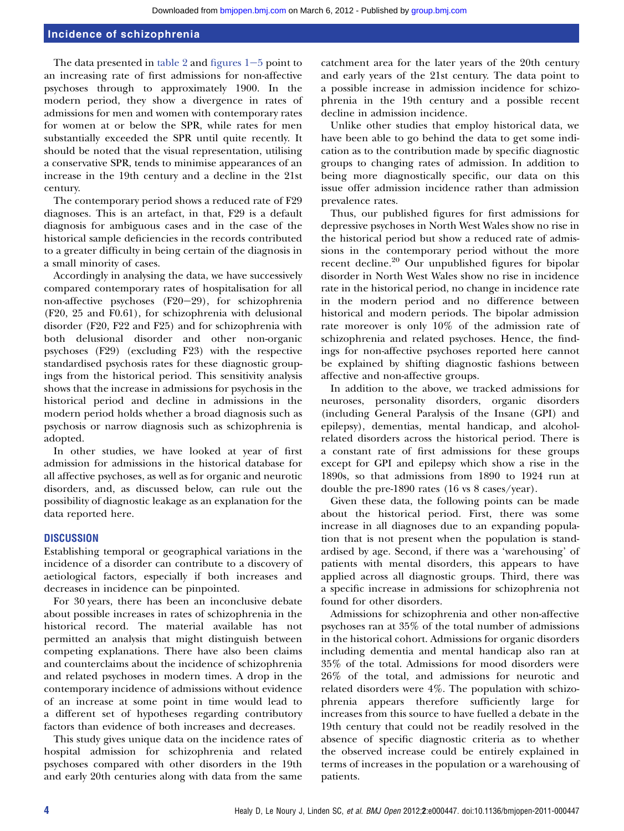The data presented in table 2 and figures  $1-5$  point to an increasing rate of first admissions for non-affective psychoses through to approximately 1900. In the modern period, they show a divergence in rates of admissions for men and women with contemporary rates for women at or below the SPR, while rates for men substantially exceeded the SPR until quite recently. It should be noted that the visual representation, utilising a conservative SPR, tends to minimise appearances of an increase in the 19th century and a decline in the 21st century.

The contemporary period shows a reduced rate of F29 diagnoses. This is an artefact, in that, F29 is a default diagnosis for ambiguous cases and in the case of the historical sample deficiencies in the records contributed to a greater difficulty in being certain of the diagnosis in a small minority of cases.

Accordingly in analysing the data, we have successively compared contemporary rates of hospitalisation for all non-affective psychoses  $(F20-29)$ , for schizophrenia (F20, 25 and F0.61), for schizophrenia with delusional disorder (F20, F22 and F25) and for schizophrenia with both delusional disorder and other non-organic psychoses (F29) (excluding F23) with the respective standardised psychosis rates for these diagnostic groupings from the historical period. This sensitivity analysis shows that the increase in admissions for psychosis in the historical period and decline in admissions in the modern period holds whether a broad diagnosis such as psychosis or narrow diagnosis such as schizophrenia is adopted.

In other studies, we have looked at year of first admission for admissions in the historical database for all affective psychoses, as well as for organic and neurotic disorders, and, as discussed below, can rule out the possibility of diagnostic leakage as an explanation for the data reported here.

#### **DISCUSSION**

Establishing temporal or geographical variations in the incidence of a disorder can contribute to a discovery of aetiological factors, especially if both increases and decreases in incidence can be pinpointed.

For 30 years, there has been an inconclusive debate about possible increases in rates of schizophrenia in the historical record. The material available has not permitted an analysis that might distinguish between competing explanations. There have also been claims and counterclaims about the incidence of schizophrenia and related psychoses in modern times. A drop in the contemporary incidence of admissions without evidence of an increase at some point in time would lead to a different set of hypotheses regarding contributory factors than evidence of both increases and decreases.

This study gives unique data on the incidence rates of hospital admission for schizophrenia and related psychoses compared with other disorders in the 19th and early 20th centuries along with data from the same

catchment area for the later years of the 20th century and early years of the 21st century. The data point to a possible increase in admission incidence for schizophrenia in the 19th century and a possible recent decline in admission incidence.

Unlike other studies that employ historical data, we have been able to go behind the data to get some indication as to the contribution made by specific diagnostic groups to changing rates of admission. In addition to being more diagnostically specific, our data on this issue offer admission incidence rather than admission prevalence rates.

Thus, our published figures for first admissions for depressive psychoses in North West Wales show no rise in the historical period but show a reduced rate of admissions in the contemporary period without the more recent decline.<sup>20</sup> Our unpublished figures for bipolar disorder in North West Wales show no rise in incidence rate in the historical period, no change in incidence rate in the modern period and no difference between historical and modern periods. The bipolar admission rate moreover is only 10% of the admission rate of schizophrenia and related psychoses. Hence, the findings for non-affective psychoses reported here cannot be explained by shifting diagnostic fashions between affective and non-affective groups.

In addition to the above, we tracked admissions for neuroses, personality disorders, organic disorders (including General Paralysis of the Insane (GPI) and epilepsy), dementias, mental handicap, and alcoholrelated disorders across the historical period. There is a constant rate of first admissions for these groups except for GPI and epilepsy which show a rise in the 1890s, so that admissions from 1890 to 1924 run at double the pre-1890 rates (16 vs 8 cases/year).

Given these data, the following points can be made about the historical period. First, there was some increase in all diagnoses due to an expanding population that is not present when the population is standardised by age. Second, if there was a 'warehousing' of patients with mental disorders, this appears to have applied across all diagnostic groups. Third, there was a specific increase in admissions for schizophrenia not found for other disorders.

Admissions for schizophrenia and other non-affective psychoses ran at 35% of the total number of admissions in the historical cohort. Admissions for organic disorders including dementia and mental handicap also ran at 35% of the total. Admissions for mood disorders were 26% of the total, and admissions for neurotic and related disorders were 4%. The population with schizophrenia appears therefore sufficiently large for increases from this source to have fuelled a debate in the 19th century that could not be readily resolved in the absence of specific diagnostic criteria as to whether the observed increase could be entirely explained in terms of increases in the population or a warehousing of patients.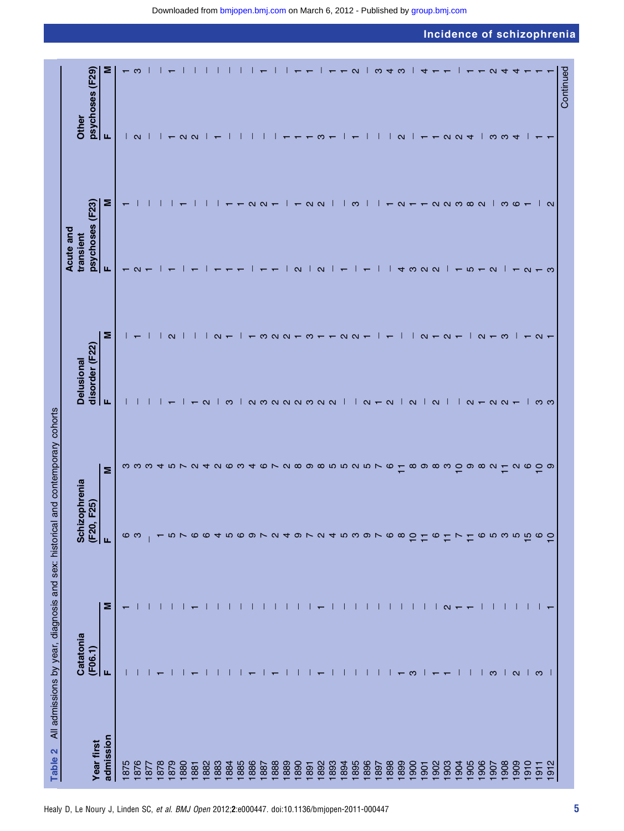| admission<br><b>Year first</b> | Catatonia<br>(F06.1)               |            | F <sub>25</sub> )<br>$rac{2}{\sqrt{2}}$                                 | zophrenia             | disorder (F22)<br>Delusional |                   | Acute and<br>transient             | psychoses (F23)                      | Other                         | psychoses (F29)     |
|--------------------------------|------------------------------------|------------|-------------------------------------------------------------------------|-----------------------|------------------------------|-------------------|------------------------------------|--------------------------------------|-------------------------------|---------------------|
|                                | $\mathbf{u}$                       | Σ          | $\mathbf{u}$                                                            | Σ                     | Щ                            | Σ                 | щ                                  | Σ                                    | щ                             | Σ                   |
| 1875                           | $\mathsf{I}$                       |            |                                                                         |                       |                              |                   | $\overline{\phantom{0}}$           |                                      |                               |                     |
| 1876                           |                                    |            | ဖ က                                                                     |                       |                              |                   | $\mathbf{\Omega}$                  |                                      | $ \alpha $                    | က                   |
| 1877                           |                                    |            |                                                                         |                       |                              |                   |                                    |                                      |                               | -1                  |
| 1878                           |                                    |            |                                                                         |                       |                              |                   |                                    |                                      |                               |                     |
| 1879                           |                                    |            |                                                                         |                       |                              | $\mathbf{\Omega}$ |                                    |                                      | $\overline{1}$                |                     |
|                                |                                    |            |                                                                         |                       |                              |                   |                                    |                                      |                               |                     |
| 1880<br>1881                   |                                    |            |                                                                         |                       |                              |                   |                                    |                                      | N <sub>N</sub>                |                     |
| 1882                           | -1                                 |            |                                                                         |                       | $\sim$                       |                   |                                    |                                      |                               |                     |
| 1883                           |                                    |            |                                                                         |                       | п.                           | $\mathbf{\Omega}$ |                                    |                                      |                               |                     |
| 1884                           |                                    |            |                                                                         |                       | co                           |                   |                                    |                                      |                               | п                   |
| 1885                           |                                    |            |                                                                         |                       | . .                          |                   |                                    | $\overline{ }$                       |                               |                     |
| 1886                           |                                    |            |                                                                         |                       |                              |                   |                                    |                                      |                               |                     |
| 1887                           |                                    |            |                                                                         |                       |                              | ო                 |                                    | $N N$ $\tau$                         |                               |                     |
|                                |                                    |            |                                                                         |                       |                              |                   |                                    |                                      |                               |                     |
| 1889<br>1889                   |                                    |            |                                                                         |                       |                              | N N               |                                    |                                      |                               |                     |
|                                |                                    |            |                                                                         |                       |                              |                   | $\mathbf{\Omega}$                  | $\overline{ }$                       |                               |                     |
| 1890<br>1891                   |                                    |            |                                                                         |                       |                              | $\infty$          |                                    |                                      |                               | $- - 1$             |
| 1892                           | $\overline{1}$ $\overline{1}$      |            |                                                                         |                       |                              |                   | $\sqrt{2}$                         | <b>NN</b>                            | က $-$                         |                     |
| 1893                           | - 1                                |            |                                                                         |                       |                              |                   | $\overline{\phantom{a}}$           | - 1                                  |                               |                     |
| 1894                           | $\mathbf{I}$                       |            |                                                                         |                       |                              |                   |                                    |                                      |                               | $ \alpha$           |
| 1895<br>1896                   |                                    |            |                                                                         |                       |                              | $\sim$ $\sim$     | $\overline{1}$                     | ო                                    |                               |                     |
|                                |                                    |            |                                                                         |                       |                              |                   |                                    |                                      |                               |                     |
| 1897                           |                                    |            |                                                                         |                       |                              |                   | $1 + 4$ $\omega$ $\alpha$ $\alpha$ |                                      |                               |                     |
| 1898                           |                                    |            |                                                                         |                       |                              |                   |                                    | $\overline{\phantom{0}}$             |                               | $\omega$ 4 $\omega$ |
| 1899                           | $\vdash$                           |            |                                                                         |                       |                              |                   |                                    | $\mathbf{N}$                         | $\sqrt{2}$                    |                     |
| 1900                           | က                                  |            |                                                                         |                       | $\overline{\phantom{a}}$     |                   |                                    |                                      |                               |                     |
|                                |                                    |            |                                                                         |                       |                              | $\sim$ $-$        |                                    |                                      |                               | $\tau$ $\tau$       |
| 1902                           | $\vdash$ $\leftarrow$ $\leftarrow$ | T.         |                                                                         |                       | $\sqrt{2}$                   |                   |                                    |                                      | $\overline{r}$ $\overline{r}$ |                     |
| 1903                           |                                    | $\sim$ $-$ |                                                                         |                       | - 1                          | $\sim$ $\sim$     | $\overline{\phantom{a}}$           |                                      |                               |                     |
| 1904                           | -1                                 |            |                                                                         |                       |                              |                   |                                    |                                      | $Q$ $Q$ $T$                   |                     |
| 1905                           |                                    |            |                                                                         |                       | $Q - Q - Q$                  |                   | $\omega$ $-$                       | $ \alpha$ $\alpha$ $\alpha$ $\alpha$ |                               |                     |
| 1906                           | Ш                                  |            |                                                                         |                       |                              | $\mathbf{N}$      |                                    |                                      |                               |                     |
| 1907                           | ო                                  |            |                                                                         |                       |                              |                   | $\mathbf{\Omega}$                  | H                                    |                               |                     |
| 1908                           | $\sqrt{2}$                         |            |                                                                         |                       |                              | က                 |                                    |                                      | $\omega \omega 4$             |                     |
| 1909                           |                                    |            |                                                                         |                       |                              |                   |                                    | $\circ$ $\circ$ $-$                  |                               |                     |
| 1910                           | က                                  |            | t p v o o 4 n o o v u 4 o v u 4 n w o v o o o t o t v t o n w n n o o t | $\alpha \circ \alpha$ | - 11 -                       |                   | $\mathbf{\Omega}$                  |                                      |                               |                     |
| $1911$<br>$1912$               |                                    |            |                                                                         |                       | ო ო                          | $\sim$ $\sim$     | — ო                                | $\sqrt{2}$                           |                               |                     |
|                                |                                    |            |                                                                         |                       |                              |                   |                                    |                                      |                               |                     |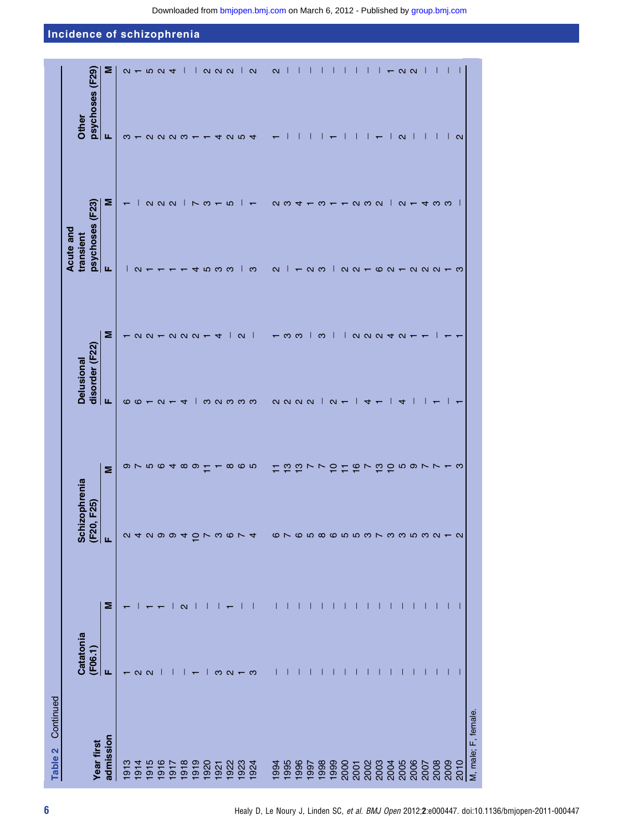| Table 2 Continued |                      |                         |                                                                |                                               | <b>Delusional</b>    |                   | Acute and          |                                                                 |                                                                                                                                                          |                              |
|-------------------|----------------------|-------------------------|----------------------------------------------------------------|-----------------------------------------------|----------------------|-------------------|--------------------|-----------------------------------------------------------------|----------------------------------------------------------------------------------------------------------------------------------------------------------|------------------------------|
| Year first        | Catatonia<br>(F06.1) |                         | Schizophrenia<br>(F20, F25)<br>F                               |                                               | disorder (F22)       |                   | transient          | psychoses (F23)                                                 | psychoses (F29)<br>Other                                                                                                                                 |                              |
| admission         | щ                    | Σ                       |                                                                | Σ                                             | Щ                    | Σ                 | Щ                  | Σ                                                               | Щ                                                                                                                                                        | Σ                            |
|                   |                      |                         |                                                                |                                               |                      |                   |                    |                                                                 |                                                                                                                                                          |                              |
|                   | $\mathbf{\alpha}$    |                         | $\sim$ $\sim$                                                  |                                               | $00 - 0 - 4$         |                   | $\mathbf{\alpha}$  |                                                                 | $\mathfrak{O}\vdash\mathfrak{O}\mathfrak{O}\mathfrak{O}\mathfrak{O}\mathfrak{O}\mathfrak{O}\mathfrak{O}\mathfrak{O}\mathfrak{O}\mathfrak{O}\mathfrak{O}$ | $Q - Q$                      |
|                   | $\mathbf{\Omega}$    |                         |                                                                |                                               |                      |                   |                    |                                                                 |                                                                                                                                                          |                              |
|                   |                      |                         |                                                                |                                               |                      |                   |                    | QQ                                                              |                                                                                                                                                          |                              |
|                   |                      |                         |                                                                |                                               |                      |                   |                    |                                                                 |                                                                                                                                                          |                              |
|                   |                      | $\overline{\mathsf{c}}$ |                                                                |                                               |                      |                   |                    |                                                                 |                                                                                                                                                          | Ш                            |
|                   |                      |                         | $\alpha$ $\omega$ $\omega$ $\alpha$ $\sigma$ $\alpha$ $\gamma$ |                                               | Ш                    |                   |                    | $\mathsf{L} \circ \mathsf{L} \circ \mathsf{L} \circ \mathsf{L}$ |                                                                                                                                                          |                              |
|                   |                      |                         |                                                                |                                               |                      |                   |                    |                                                                 |                                                                                                                                                          |                              |
|                   | S                    |                         |                                                                | $\overline{\phantom{0}}$                      |                      |                   | 4600               |                                                                 |                                                                                                                                                          | $\sqrt{2}$ $\sim$ $\sqrt{2}$ |
|                   |                      |                         |                                                                |                                               |                      |                   |                    |                                                                 |                                                                                                                                                          |                              |
|                   |                      |                         |                                                                |                                               |                      | $\mathbf{\Omega}$ |                    |                                                                 |                                                                                                                                                          | т.                           |
|                   | က                    |                         | $\overline{4}$                                                 | $\alpha$ $\alpha$ $\alpha$                    |                      | - 1               | co                 | $\overline{\phantom{0}}$                                        |                                                                                                                                                          | $\mathbf{\Omega}$            |
|                   |                      |                         |                                                                | Ξ                                             | nannn aana           |                   | $\mathbf{\Omega}$  |                                                                 | $\overline{\phantom{0}}$                                                                                                                                 | $\mathbf{N}$                 |
|                   |                      |                         |                                                                |                                               |                      |                   | т.                 | $\alpha$                                                        | - 11                                                                                                                                                     |                              |
|                   |                      |                         | G N G W G G W W W W W W W W W W W W W                          | $\begin{array}{c} 2 & 2 \\ 2 & 3 \end{array}$ |                      | $ \infty$         |                    | $\overline{4}$                                                  |                                                                                                                                                          |                              |
|                   |                      |                         |                                                                |                                               |                      | $\blacklozenge$   | $ \alpha$ $\alpha$ |                                                                 |                                                                                                                                                          |                              |
|                   |                      |                         |                                                                | $\overline{ }$                                |                      | က                 |                    | က                                                               |                                                                                                                                                          |                              |
|                   |                      |                         |                                                                | $\overline{C}$                                | $\sim$ $\sim$ $\sim$ | Ш                 | п.                 |                                                                 | $\overline{ }$                                                                                                                                           |                              |
|                   |                      |                         |                                                                | 三                                             |                      | Т                 |                    |                                                                 | - 1                                                                                                                                                      |                              |
|                   |                      |                         |                                                                | $rac{6}{7}$                                   | $\mathbf{L}$         |                   |                    |                                                                 | T                                                                                                                                                        |                              |
|                   |                      |                         |                                                                |                                               | $4 -$                |                   |                    | $Q \nO$                                                         |                                                                                                                                                          |                              |
|                   |                      |                         |                                                                |                                               |                      |                   |                    |                                                                 | $\overline{1}$ $\overline{1}$                                                                                                                            |                              |
|                   |                      |                         |                                                                | $\frac{1}{2}$ $\frac{1}{2}$ $\frac{1}{2}$     | Т                    |                   |                    |                                                                 | - 11                                                                                                                                                     | $ \alpha$ $\alpha$           |
|                   |                      |                         |                                                                |                                               | $\overline{4}$       |                   |                    |                                                                 | $\mathbf{\Omega}$                                                                                                                                        |                              |
|                   |                      |                         |                                                                | $\circ$ $\sim$                                | Ш                    |                   |                    |                                                                 | -1                                                                                                                                                       |                              |
|                   |                      |                         |                                                                |                                               | н                    |                   |                    | $Q - 4Q$                                                        | ı                                                                                                                                                        |                              |
|                   |                      |                         |                                                                | $\overline{ }$                                | $\overline{ }$       |                   |                    |                                                                 | - 1                                                                                                                                                      |                              |
|                   |                      |                         |                                                                |                                               |                      |                   |                    |                                                                 |                                                                                                                                                          |                              |
|                   |                      |                         |                                                                | က                                             | $\mathsf{L}$         |                   |                    | $\mathbf{I}$                                                    | ା ଘ                                                                                                                                                      |                              |
|                   |                      |                         |                                                                |                                               |                      |                   |                    |                                                                 |                                                                                                                                                          |                              |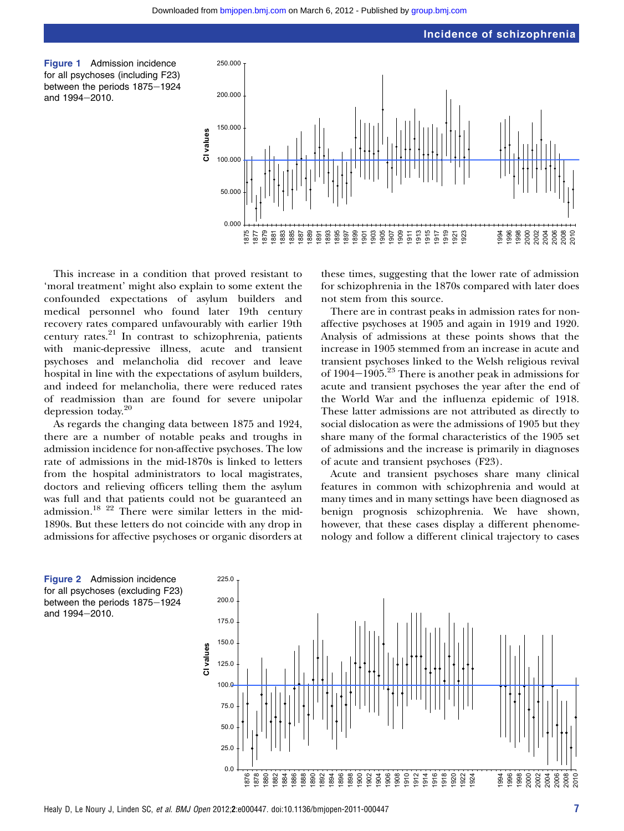



This increase in a condition that proved resistant to 'moral treatment' might also explain to some extent the confounded expectations of asylum builders and medical personnel who found later 19th century recovery rates compared unfavourably with earlier 19th century rates.<sup>21</sup> In contrast to schizophrenia, patients with manic-depressive illness, acute and transient psychoses and melancholia did recover and leave hospital in line with the expectations of asylum builders, and indeed for melancholia, there were reduced rates of readmission than are found for severe unipolar depression today.<sup>20</sup>

As regards the changing data between 1875 and 1924, there are a number of notable peaks and troughs in admission incidence for non-affective psychoses. The low rate of admissions in the mid-1870s is linked to letters from the hospital administrators to local magistrates, doctors and relieving officers telling them the asylum was full and that patients could not be guaranteed an admission.18 <sup>22</sup> There were similar letters in the mid-1890s. But these letters do not coincide with any drop in admissions for affective psychoses or organic disorders at

these times, suggesting that the lower rate of admission for schizophrenia in the 1870s compared with later does not stem from this source.

Incidence of schizophrenia

There are in contrast peaks in admission rates for nonaffective psychoses at 1905 and again in 1919 and 1920. Analysis of admissions at these points shows that the increase in 1905 stemmed from an increase in acute and transient psychoses linked to the Welsh religious revival of  $1904-1905$ <sup>23</sup> There is another peak in admissions for acute and transient psychoses the year after the end of the World War and the influenza epidemic of 1918. These latter admissions are not attributed as directly to social dislocation as were the admissions of 1905 but they share many of the formal characteristics of the 1905 set of admissions and the increase is primarily in diagnoses of acute and transient psychoses (F23).

Acute and transient psychoses share many clinical features in common with schizophrenia and would at many times and in many settings have been diagnosed as benign prognosis schizophrenia. We have shown, however, that these cases display a different phenomenology and follow a different clinical trajectory to cases



Figure 2 Admission incidence for all psychoses (excluding F23) between the periods 1875-1924 and 1994-2010.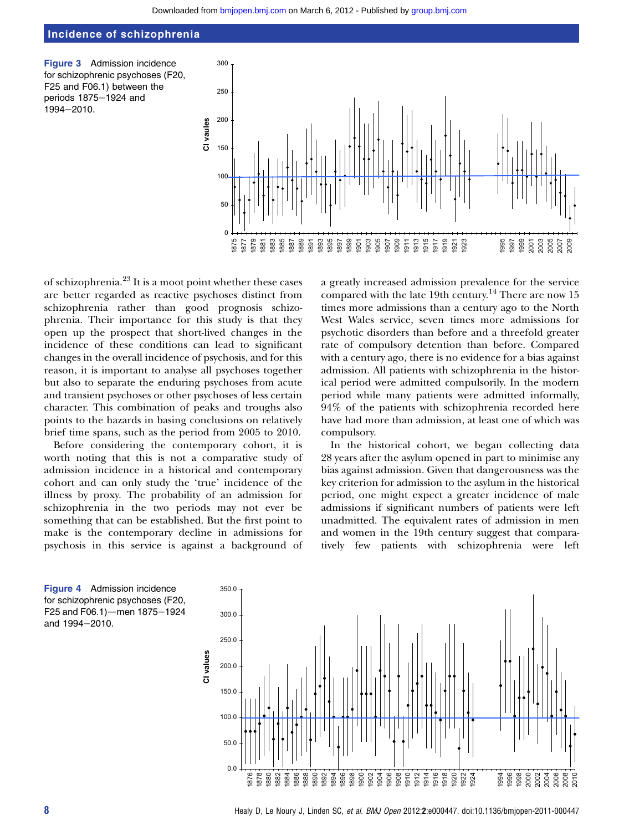Figure 3 Admission incidence for schizophrenic psychoses (F20, F25 and F06.1) between the periods 1875-1924 and 1994-2010.



of schizophrenia.<sup>23</sup> It is a moot point whether these cases are better regarded as reactive psychoses distinct from schizophrenia rather than good prognosis schizophrenia. Their importance for this study is that they open up the prospect that short-lived changes in the incidence of these conditions can lead to significant changes in the overall incidence of psychosis, and for this reason, it is important to analyse all psychoses together but also to separate the enduring psychoses from acute and transient psychoses or other psychoses of less certain character. This combination of peaks and troughs also points to the hazards in basing conclusions on relatively brief time spans, such as the period from 2005 to 2010.

Before considering the contemporary cohort, it is worth noting that this is not a comparative study of admission incidence in a historical and contemporary cohort and can only study the 'true' incidence of the illness by proxy. The probability of an admission for schizophrenia in the two periods may not ever be something that can be established. But the first point to make is the contemporary decline in admissions for psychosis in this service is against a background of a greatly increased admission prevalence for the service compared with the late 19th century.<sup>14</sup> There are now 15 times more admissions than a century ago to the North West Wales service, seven times more admissions for psychotic disorders than before and a threefold greater rate of compulsory detention than before. Compared with a century ago, there is no evidence for a bias against admission. All patients with schizophrenia in the historical period were admitted compulsorily. In the modern period while many patients were admitted informally, 94% of the patients with schizophrenia recorded here have had more than admission, at least one of which was compulsory.

In the historical cohort, we began collecting data 28 years after the asylum opened in part to minimise any bias against admission. Given that dangerousness was the key criterion for admission to the asylum in the historical period, one might expect a greater incidence of male admissions if significant numbers of patients were left unadmitted. The equivalent rates of admission in men and women in the 19th century suggest that comparatively few patients with schizophrenia were left



Figure 4 Admission incidence for schizophrenic psychoses (F20, F25 and F06.1)-men 1875-1924 and 1994-2010.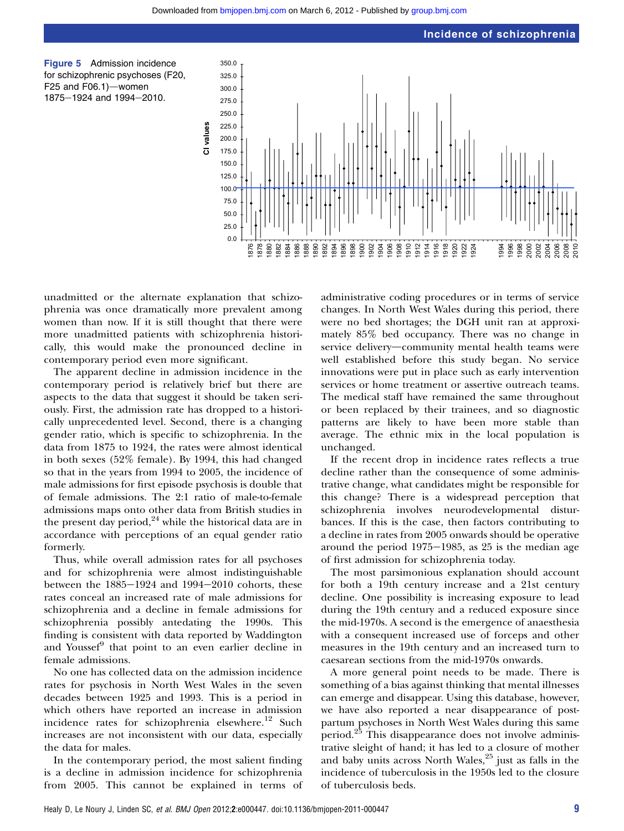



unadmitted or the alternate explanation that schizophrenia was once dramatically more prevalent among women than now. If it is still thought that there were more unadmitted patients with schizophrenia historically, this would make the pronounced decline in contemporary period even more significant.

The apparent decline in admission incidence in the contemporary period is relatively brief but there are aspects to the data that suggest it should be taken seriously. First, the admission rate has dropped to a historically unprecedented level. Second, there is a changing gender ratio, which is specific to schizophrenia. In the data from 1875 to 1924, the rates were almost identical in both sexes (52% female). By 1994, this had changed so that in the years from 1994 to 2005, the incidence of male admissions for first episode psychosis is double that of female admissions. The 2:1 ratio of male-to-female admissions maps onto other data from British studies in the present day period, $^{24}$  while the historical data are in accordance with perceptions of an equal gender ratio formerly.

Thus, while overall admission rates for all psychoses and for schizophrenia were almost indistinguishable between the  $1885-1924$  and  $1994-2010$  cohorts, these rates conceal an increased rate of male admissions for schizophrenia and a decline in female admissions for schizophrenia possibly antedating the 1990s. This finding is consistent with data reported by Waddington and Youssef $<sup>9</sup>$  that point to an even earlier decline in</sup> female admissions.

No one has collected data on the admission incidence rates for psychosis in North West Wales in the seven decades between 1925 and 1993. This is a period in which others have reported an increase in admission incidence rates for schizophrenia elsewhere.<sup>12</sup> Such increases are not inconsistent with our data, especially the data for males.

In the contemporary period, the most salient finding is a decline in admission incidence for schizophrenia from 2005. This cannot be explained in terms of administrative coding procedures or in terms of service changes. In North West Wales during this period, there were no bed shortages; the DGH unit ran at approximately 85% bed occupancy. There was no change in service delivery-community mental health teams were well established before this study began. No service innovations were put in place such as early intervention services or home treatment or assertive outreach teams. The medical staff have remained the same throughout or been replaced by their trainees, and so diagnostic patterns are likely to have been more stable than average. The ethnic mix in the local population is unchanged.

Incidence of schizophrenia

If the recent drop in incidence rates reflects a true decline rather than the consequence of some administrative change, what candidates might be responsible for this change? There is a widespread perception that schizophrenia involves neurodevelopmental disturbances. If this is the case, then factors contributing to a decline in rates from 2005 onwards should be operative around the period  $1975-1985$ , as 25 is the median age of first admission for schizophrenia today.

The most parsimonious explanation should account for both a 19th century increase and a 21st century decline. One possibility is increasing exposure to lead during the 19th century and a reduced exposure since the mid-1970s. A second is the emergence of anaesthesia with a consequent increased use of forceps and other measures in the 19th century and an increased turn to caesarean sections from the mid-1970s onwards.

A more general point needs to be made. There is something of a bias against thinking that mental illnesses can emerge and disappear. Using this database, however, we have also reported a near disappearance of postpartum psychoses in North West Wales during this same period.<sup>25</sup> This disappearance does not involve administrative sleight of hand; it has led to a closure of mother and baby units across North Wales, $25$  just as falls in the incidence of tuberculosis in the 1950s led to the closure of tuberculosis beds.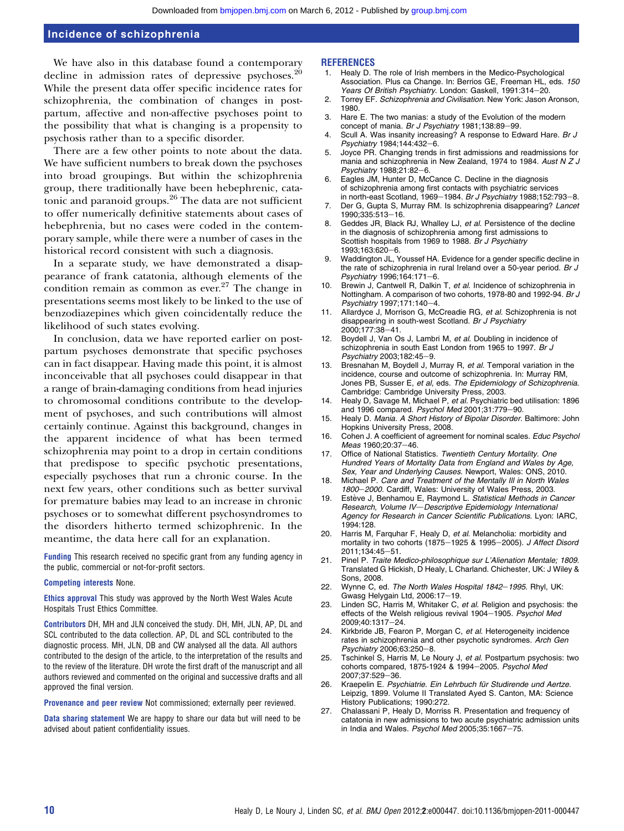We have also in this database found a contemporary decline in admission rates of depressive psychoses.<sup>20</sup> While the present data offer specific incidence rates for schizophrenia, the combination of changes in postpartum, affective and non-affective psychoses point to the possibility that what is changing is a propensity to psychosis rather than to a specific disorder.

There are a few other points to note about the data. We have sufficient numbers to break down the psychoses into broad groupings. But within the schizophrenia group, there traditionally have been hebephrenic, catatonic and paranoid groups. $2^6$  The data are not sufficient to offer numerically definitive statements about cases of hebephrenia, but no cases were coded in the contemporary sample, while there were a number of cases in the historical record consistent with such a diagnosis.

In a separate study, we have demonstrated a disappearance of frank catatonia, although elements of the condition remain as common as  $e^{27}$  The change in presentations seems most likely to be linked to the use of benzodiazepines which given coincidentally reduce the likelihood of such states evolving.

In conclusion, data we have reported earlier on postpartum psychoses demonstrate that specific psychoses can in fact disappear. Having made this point, it is almost inconceivable that all psychoses could disappear in that a range of brain-damaging conditions from head injuries to chromosomal conditions contribute to the development of psychoses, and such contributions will almost certainly continue. Against this background, changes in the apparent incidence of what has been termed schizophrenia may point to a drop in certain conditions that predispose to specific psychotic presentations, especially psychoses that run a chronic course. In the next few years, other conditions such as better survival for premature babies may lead to an increase in chronic psychoses or to somewhat different psychosyndromes to the disorders hitherto termed schizophrenic. In the meantime, the data here call for an explanation.

Funding This research received no specific grant from any funding agency in the public, commercial or not-for-profit sectors.

#### Competing interests None.

Ethics approval This study was approved by the North West Wales Acute Hospitals Trust Ethics Committee.

Contributors DH, MH and JLN conceived the study. DH, MH, JLN, AP, DL and SCL contributed to the data collection. AP, DL and SCL contributed to the diagnostic process. MH, JLN, DB and CW analysed all the data. All authors contributed to the design of the article, to the interpretation of the results and to the review of the literature. DH wrote the first draft of the manuscript and all authors reviewed and commented on the original and successive drafts and all approved the final version.

Provenance and peer review Not commissioned; externally peer reviewed.

Data sharing statement We are happy to share our data but will need to be advised about patient confidentiality issues.

#### **REFERENCES**

- Healy D. The role of Irish members in the Medico-Psychological Association. Plus ca Change. In: Berrios GE, Freeman HL, eds. 150 Years Of British Psychiatry. London: Gaskell, 1991:314-20.
- 2. Torrey EF. Schizophrenia and Civilisation. New York: Jason Aronson, 1980.
- 3. Hare E. The two manias: a study of the Evolution of the modern concept of mania. Br J Psychiatry  $1981;138:89-99$ .
- 4. Scull A. Was insanity increasing? A response to Edward Hare. Br J Psychiatry 1984;144:432-6.
- Joyce PR. Changing trends in first admissions and readmissions for mania and schizophrenia in New Zealand, 1974 to 1984. Aust N Z J  $P$ sychiatry 1988;21:82-6.
- 6. Eagles JM, Hunter D, McCance C. Decline in the diagnosis of schizophrenia among first contacts with psychiatric services in north-east Scotland,  $1969-1984$ . Br J Psychiatry 1988;152:793-8.
- 7. Der G, Gupta S, Murray RM. Is schizophrenia disappearing? Lancet 1990:335:513-16.
- 8. Geddes JR, Black RJ, Whalley LJ, et al. Persistence of the decline in the diagnosis of schizophrenia among first admissions to Scottish hospitals from 1969 to 1988. Br J Psychiatry 1993:163:620-6.
- 9. Waddington JL, Youssef HA. Evidence for a gender specific decline in the rate of schizophrenia in rural Ireland over a 50-year period. Br J Psychiatry 1996;164:171-6.
- 10. Brewin J, Cantwell R, Dalkin T, et al. Incidence of schizophrenia in Nottingham. A comparison of two cohorts, 1978-80 and 1992-94. Br J Psychiatry 1997;171:140-4.
- 11. Allardyce J, Morrison G, McCreadie RG, et al. Schizophrenia is not disappearing in south-west Scotland. Br J Psychiatry 2000;177:38-41.
- 12. Boydell J, Van Os J, Lambri M, et al. Doubling in incidence of schizophrenia in south East London from 1965 to 1997. Br J Psychiatry 2003;182:45-9.
- 13. Bresnahan M, Boydell J, Murray R, et al. Temporal variation in the incidence, course and outcome of schizophrenia. In: Murray RM, Jones PB, Susser E, et al, eds. The Epidemiology of Schizophrenia. Cambridge: Cambridge University Press, 2003.
- 14. Healy D, Savage M, Michael P, et al. Psychiatric bed utilisation: 1896 and 1996 compared. Psychol Med 2001;31:779-90.
- 15. Healy D. Mania. A Short History of Bipolar Disorder. Baltimore: John Hopkins University Press, 2008.
- 16. Cohen J. A coefficient of agreement for nominal scales. Educ Psychol Meas 1960;20:37-46.
- 17. Office of National Statistics. Twentieth Century Mortality. One Hundred Years of Mortality Data from England and Wales by Age, Sex, Year and Underlying Causes. Newport, Wales: ONS, 2010.
- 18. Michael P. Care and Treatment of the Mentally III in North Wales 1800-2000. Cardiff, Wales: University of Wales Press, 2003.
- 19. Estève J, Benhamou E, Raymond L. Statistical Methods in Cancer Research, Volume IV-Descriptive Epidemiology International Agency for Research in Cancer Scientific Publications. Lyon: IARC, 1994:128.
- 20. Harris M, Farquhar F, Healy D, et al. Melancholia: morbidity and mortality in two cohorts (1875-1925 & 1995-2005). J Affect Disord 2011;134:45-51.
- 21. Pinel P. Traite Medico-philosophique sur L'Alienation Mentale; 1809. Translated G Hickish, D Healy, L Charland. Chichester, UK: J Wiley & Sons, 2008.
- 22. Wynne C, ed. The North Wales Hospital 1842-1995. Rhyl, UK: Gwasg Helygain Ltd,  $2006:17-19$ .
- 23. Linden SC, Harris M, Whitaker C, et al. Religion and psychosis: the effects of the Welsh religious revival 1904-1905. Psychol Med 2009;40:1317-24.
- 24. Kirkbride JB, Fearon P, Morgan C, et al. Heterogeneity incidence rates in schizophrenia and other psychotic syndromes. Arch Gen Psychiatry 2006;63:250-8.
- 25. Tschinkel S, Harris M, Le Noury J, et al. Postpartum psychosis: two cohorts compared, 1875-1924 & 1994-2005. Psychol Med 2007;37:529-36.
- 26. Kraepelin E. Psychiatrie. Ein Lehrbuch für Studirende und Aertze. Leipzig, 1899. Volume II Translated Ayed S. Canton, MA: Science History Publications; 1990:272.
- 27. Chalassani P, Healy D, Morriss R. Presentation and frequency of catatonia in new admissions to two acute psychiatric admission units in India and Wales. Psychol Med  $2005;35:1667-75$ .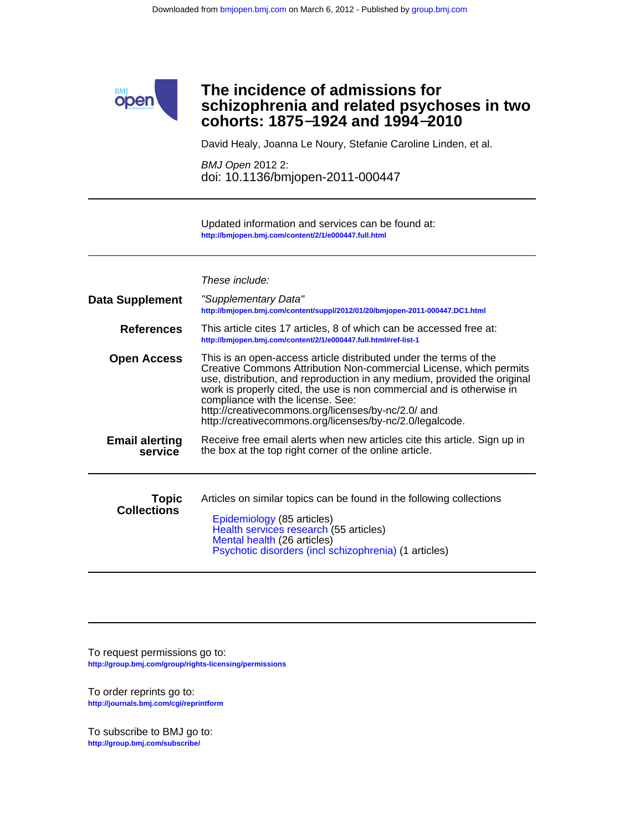

# **cohorts: 1875**−**1924 and 1994**−**2010 schizophrenia and related psychoses in two The incidence of admissions for**

David Healy, Joanna Le Noury, Stefanie Caroline Linden, et al.

doi: 10.1136/bmjopen-2011-000447 BMJ Open 2012 2:

**<http://bmjopen.bmj.com/content/2/1/e000447.full.html>** Updated information and services can be found at:

These include:

| <b>Data Supplement</b>             | "Supplementary Data"<br>http://bmjopen.bmj.com/content/suppl/2012/01/20/bmjopen-2011-000447.DC1.html                                                                                                                                                                                                                                                                                                                                                |
|------------------------------------|-----------------------------------------------------------------------------------------------------------------------------------------------------------------------------------------------------------------------------------------------------------------------------------------------------------------------------------------------------------------------------------------------------------------------------------------------------|
| <b>References</b>                  | This article cites 17 articles, 8 of which can be accessed free at:<br>http://bmjopen.bmj.com/content/2/1/e000447.full.html#ref-list-1                                                                                                                                                                                                                                                                                                              |
| <b>Open Access</b>                 | This is an open-access article distributed under the terms of the<br>Creative Commons Attribution Non-commercial License, which permits<br>use, distribution, and reproduction in any medium, provided the original<br>work is properly cited, the use is non commercial and is otherwise in<br>compliance with the license. See:<br>http://creativecommons.org/licenses/by-nc/2.0/ and<br>http://creativecommons.org/licenses/by-nc/2.0/legalcode. |
| <b>Email alerting</b><br>service   | Receive free email alerts when new articles cite this article. Sign up in<br>the box at the top right corner of the online article.                                                                                                                                                                                                                                                                                                                 |
| <b>Topic</b><br><b>Collections</b> | Articles on similar topics can be found in the following collections<br>Epidemiology (85 articles)<br>Health services research (55 articles)<br>Mental health (26 articles)<br>Psychotic disorders (incl schizophrenia) (1 articles)                                                                                                                                                                                                                |

**<http://group.bmj.com/group/rights-licensing/permissions>** To request permissions go to:

**<http://journals.bmj.com/cgi/reprintform>** To order reprints go to:

**<http://group.bmj.com/subscribe/>** To subscribe to BMJ go to: